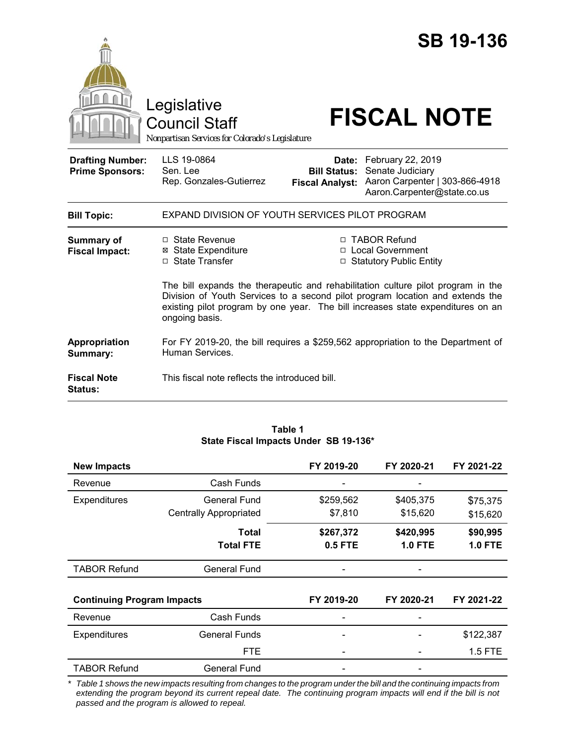|                                                   | Legislative<br><b>Council Staff</b><br>Nonpartisan Services for Colorado's Legislature |                                                        | <b>SB 19-136</b><br><b>FISCAL NOTE</b>                                                                                                                                                                                                                                                                                    |  |  |
|---------------------------------------------------|----------------------------------------------------------------------------------------|--------------------------------------------------------|---------------------------------------------------------------------------------------------------------------------------------------------------------------------------------------------------------------------------------------------------------------------------------------------------------------------------|--|--|
| <b>Drafting Number:</b><br><b>Prime Sponsors:</b> | LLS 19-0864<br>Sen. Lee<br>Rep. Gonzales-Gutierrez                                     | Date:<br><b>Bill Status:</b><br><b>Fiscal Analyst:</b> | February 22, 2019<br>Senate Judiciary<br>Aaron Carpenter   303-866-4918<br>Aaron.Carpenter@state.co.us                                                                                                                                                                                                                    |  |  |
| <b>Bill Topic:</b>                                | EXPAND DIVISION OF YOUTH SERVICES PILOT PROGRAM                                        |                                                        |                                                                                                                                                                                                                                                                                                                           |  |  |
| Summary of<br><b>Fiscal Impact:</b>               | $\Box$ State Revenue<br><b>⊠</b> State Expenditure<br>□ State Transfer                 |                                                        | □ TABOR Refund<br>□ Local Government<br>□ Statutory Public Entity<br>The bill expands the therapeutic and rehabilitation culture pilot program in the<br>Division of Youth Services to a second pilot program location and extends the<br>existing pilot program by one year. The bill increases state expenditures on an |  |  |
| Appropriation                                     | ongoing basis.                                                                         |                                                        | For FY 2019-20, the bill requires a \$259,562 appropriation to the Department of                                                                                                                                                                                                                                          |  |  |
| Summary:                                          | Human Services.                                                                        |                                                        |                                                                                                                                                                                                                                                                                                                           |  |  |
| <b>Fiscal Note</b><br><b>Status:</b>              | This fiscal note reflects the introduced bill.                                         |                                                        |                                                                                                                                                                                                                                                                                                                           |  |  |

#### **Table 1 State Fiscal Impacts Under SB 19-136\***

| <b>New Impacts</b>                |                               | FY 2019-20 | FY 2020-21     | FY 2021-22     |
|-----------------------------------|-------------------------------|------------|----------------|----------------|
| Revenue                           | Cash Funds                    |            |                |                |
| <b>Expenditures</b>               | General Fund                  | \$259,562  | \$405,375      | \$75,375       |
|                                   | <b>Centrally Appropriated</b> | \$7,810    | \$15,620       | \$15,620       |
|                                   | Total                         | \$267,372  | \$420,995      | \$90,995       |
|                                   | <b>Total FTE</b>              | 0.5 FTE    | <b>1.0 FTE</b> | <b>1.0 FTE</b> |
| <b>TABOR Refund</b>               | General Fund                  |            |                |                |
|                                   |                               |            |                |                |
| <b>Continuing Program Impacts</b> |                               | FY 2019-20 | FY 2020-21     | FY 2021-22     |
| Revenue                           | Cash Funds                    |            |                |                |
| Expenditures                      | <b>General Funds</b>          |            |                | \$122,387      |
|                                   | <b>FTE</b>                    |            |                | 1.5 FTE        |
| <b>TABOR Refund</b>               | General Fund                  |            |                |                |

*\* Table 1 shows the new impacts resulting from changes to the program under the bill and the continuing impacts from extending the program beyond its current repeal date. The continuing program impacts will end if the bill is not passed and the program is allowed to repeal.*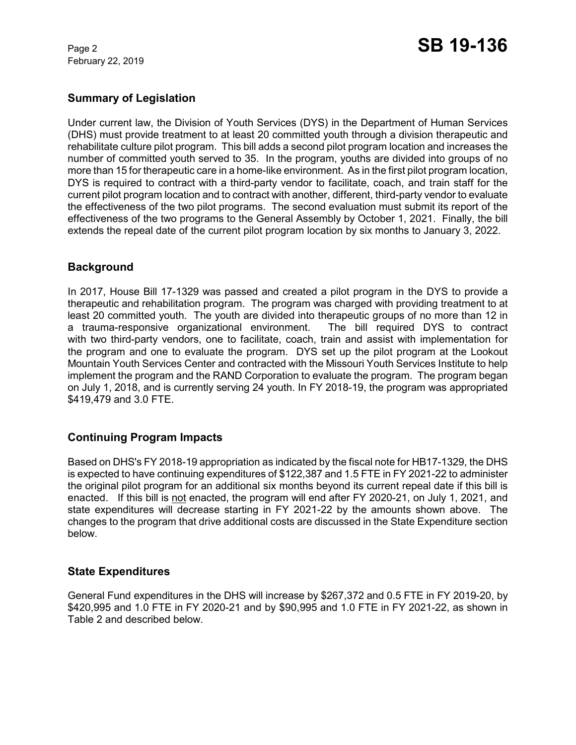February 22, 2019

### **Summary of Legislation**

Under current law, the Division of Youth Services (DYS) in the Department of Human Services (DHS) must provide treatment to at least 20 committed youth through a division therapeutic and rehabilitate culture pilot program. This bill adds a second pilot program location and increases the number of committed youth served to 35. In the program, youths are divided into groups of no more than 15 for therapeutic care in a home-like environment. As in the first pilot program location, DYS is required to contract with a third-party vendor to facilitate, coach, and train staff for the current pilot program location and to contract with another, different, third-party vendor to evaluate the effectiveness of the two pilot programs. The second evaluation must submit its report of the effectiveness of the two programs to the General Assembly by October 1, 2021. Finally, the bill extends the repeal date of the current pilot program location by six months to January 3, 2022.

# **Background**

In 2017, House Bill 17-1329 was passed and created a pilot program in the DYS to provide a therapeutic and rehabilitation program. The program was charged with providing treatment to at least 20 committed youth. The youth are divided into therapeutic groups of no more than 12 in a trauma-responsive organizational environment. The bill required DYS to contract with two third-party vendors, one to facilitate, coach, train and assist with implementation for the program and one to evaluate the program. DYS set up the pilot program at the Lookout Mountain Youth Services Center and contracted with the Missouri Youth Services Institute to help implement the program and the RAND Corporation to evaluate the program. The program began on July 1, 2018, and is currently serving 24 youth. In FY 2018-19, the program was appropriated \$419,479 and 3.0 FTE.

# **Continuing Program Impacts**

Based on DHS's FY 2018-19 appropriation as indicated by the fiscal note for HB17-1329, the DHS is expected to have continuing expenditures of \$122,387 and 1.5 FTE in FY 2021-22 to administer the original pilot program for an additional six months beyond its current repeal date if this bill is enacted. If this bill is not enacted, the program will end after FY 2020-21, on July 1, 2021, and state expenditures will decrease starting in FY 2021-22 by the amounts shown above. The changes to the program that drive additional costs are discussed in the State Expenditure section below.

### **State Expenditures**

General Fund expenditures in the DHS will increase by \$267,372 and 0.5 FTE in FY 2019-20, by \$420,995 and 1.0 FTE in FY 2020-21 and by \$90,995 and 1.0 FTE in FY 2021-22, as shown in Table 2 and described below.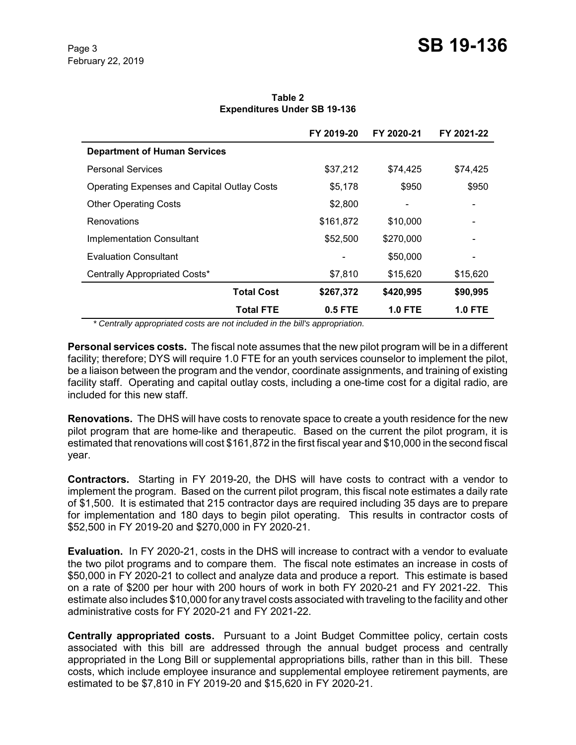**Table 2 Expenditures Under SB 19-136**

|                                                    | FY 2019-20 | FY 2020-21 | FY 2021-22 |
|----------------------------------------------------|------------|------------|------------|
| <b>Department of Human Services</b>                |            |            |            |
| <b>Personal Services</b>                           | \$37,212   | \$74.425   | \$74,425   |
| <b>Operating Expenses and Capital Outlay Costs</b> | \$5,178    | \$950      | \$950      |
| <b>Other Operating Costs</b>                       | \$2,800    |            |            |
| Renovations                                        | \$161,872  | \$10,000   |            |
| <b>Implementation Consultant</b>                   | \$52,500   | \$270,000  |            |
| <b>Evaluation Consultant</b>                       |            | \$50,000   |            |
| Centrally Appropriated Costs*                      | \$7,810    | \$15,620   | \$15,620   |
| <b>Total Cost</b>                                  | \$267,372  | \$420,995  | \$90,995   |
| Total FTE                                          | $0.5$ FTE  | 1.0 FTE    | 1.0 FTE    |

 *\* Centrally appropriated costs are not included in the bill's appropriation.*

**Personal services costs.** The fiscal note assumes that the new pilot program will be in a different facility; therefore; DYS will require 1.0 FTE for an youth services counselor to implement the pilot, be a liaison between the program and the vendor, coordinate assignments, and training of existing facility staff. Operating and capital outlay costs, including a one-time cost for a digital radio, are included for this new staff.

**Renovations.** The DHS will have costs to renovate space to create a youth residence for the new pilot program that are home-like and therapeutic. Based on the current the pilot program, it is estimated that renovations will cost \$161,872 in the first fiscal year and \$10,000 in the second fiscal year.

**Contractors.** Starting in FY 2019-20, the DHS will have costs to contract with a vendor to implement the program. Based on the current pilot program, this fiscal note estimates a daily rate of \$1,500. It is estimated that 215 contractor days are required including 35 days are to prepare for implementation and 180 days to begin pilot operating. This results in contractor costs of \$52,500 in FY 2019-20 and \$270,000 in FY 2020-21.

**Evaluation.** In FY 2020-21, costs in the DHS will increase to contract with a vendor to evaluate the two pilot programs and to compare them. The fiscal note estimates an increase in costs of \$50,000 in FY 2020-21 to collect and analyze data and produce a report. This estimate is based on a rate of \$200 per hour with 200 hours of work in both FY 2020-21 and FY 2021-22. This estimate also includes \$10,000 for any travel costs associated with traveling to the facility and other administrative costs for FY 2020-21 and FY 2021-22.

**Centrally appropriated costs.** Pursuant to a Joint Budget Committee policy, certain costs associated with this bill are addressed through the annual budget process and centrally appropriated in the Long Bill or supplemental appropriations bills, rather than in this bill. These costs, which include employee insurance and supplemental employee retirement payments, are estimated to be \$7,810 in FY 2019-20 and \$15,620 in FY 2020-21.